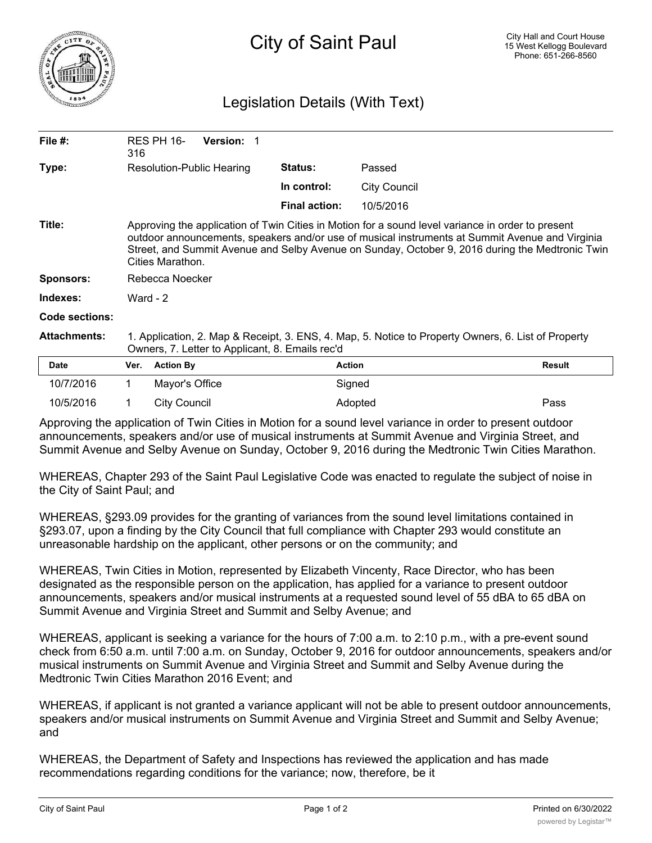

## Legislation Details (With Text)

| File $#$ :          | 316                                                                                                                                                                                                                                                                                                                         | RES PH 16-       | <b>Version:</b> |                      |                     |               |
|---------------------|-----------------------------------------------------------------------------------------------------------------------------------------------------------------------------------------------------------------------------------------------------------------------------------------------------------------------------|------------------|-----------------|----------------------|---------------------|---------------|
| Type:               | Resolution-Public Hearing                                                                                                                                                                                                                                                                                                   |                  |                 | <b>Status:</b>       | Passed              |               |
|                     |                                                                                                                                                                                                                                                                                                                             |                  |                 | In control:          | <b>City Council</b> |               |
|                     |                                                                                                                                                                                                                                                                                                                             |                  |                 | <b>Final action:</b> | 10/5/2016           |               |
| Title:              | Approving the application of Twin Cities in Motion for a sound level variance in order to present<br>outdoor announcements, speakers and/or use of musical instruments at Summit Avenue and Virginia<br>Street, and Summit Avenue and Selby Avenue on Sunday, October 9, 2016 during the Medtronic Twin<br>Cities Marathon. |                  |                 |                      |                     |               |
| <b>Sponsors:</b>    | Rebecca Noecker                                                                                                                                                                                                                                                                                                             |                  |                 |                      |                     |               |
| Indexes:            | Ward - $2$                                                                                                                                                                                                                                                                                                                  |                  |                 |                      |                     |               |
| Code sections:      |                                                                                                                                                                                                                                                                                                                             |                  |                 |                      |                     |               |
| <b>Attachments:</b> | 1. Application, 2. Map & Receipt, 3. ENS, 4. Map, 5. Notice to Property Owners, 6. List of Property<br>Owners, 7. Letter to Applicant, 8. Emails rec'd                                                                                                                                                                      |                  |                 |                      |                     |               |
| <b>Date</b>         | Ver.                                                                                                                                                                                                                                                                                                                        | <b>Action By</b> |                 |                      | <b>Action</b>       | <b>Result</b> |
| 10/7/2016           |                                                                                                                                                                                                                                                                                                                             | Mayor's Office   |                 |                      | Signed              |               |
|                     |                                                                                                                                                                                                                                                                                                                             |                  |                 |                      |                     |               |

Approving the application of Twin Cities in Motion for a sound level variance in order to present outdoor announcements, speakers and/or use of musical instruments at Summit Avenue and Virginia Street, and Summit Avenue and Selby Avenue on Sunday, October 9, 2016 during the Medtronic Twin Cities Marathon.

10/5/2016 1 City Council Adopted Pass

WHEREAS, Chapter 293 of the Saint Paul Legislative Code was enacted to regulate the subject of noise in the City of Saint Paul; and

WHEREAS, §293.09 provides for the granting of variances from the sound level limitations contained in §293.07, upon a finding by the City Council that full compliance with Chapter 293 would constitute an unreasonable hardship on the applicant, other persons or on the community; and

WHEREAS, Twin Cities in Motion, represented by Elizabeth Vincenty, Race Director, who has been designated as the responsible person on the application, has applied for a variance to present outdoor announcements, speakers and/or musical instruments at a requested sound level of 55 dBA to 65 dBA on Summit Avenue and Virginia Street and Summit and Selby Avenue; and

WHEREAS, applicant is seeking a variance for the hours of 7:00 a.m. to 2:10 p.m., with a pre-event sound check from 6:50 a.m. until 7:00 a.m. on Sunday, October 9, 2016 for outdoor announcements, speakers and/or musical instruments on Summit Avenue and Virginia Street and Summit and Selby Avenue during the Medtronic Twin Cities Marathon 2016 Event; and

WHEREAS, if applicant is not granted a variance applicant will not be able to present outdoor announcements, speakers and/or musical instruments on Summit Avenue and Virginia Street and Summit and Selby Avenue; and

WHEREAS, the Department of Safety and Inspections has reviewed the application and has made recommendations regarding conditions for the variance; now, therefore, be it